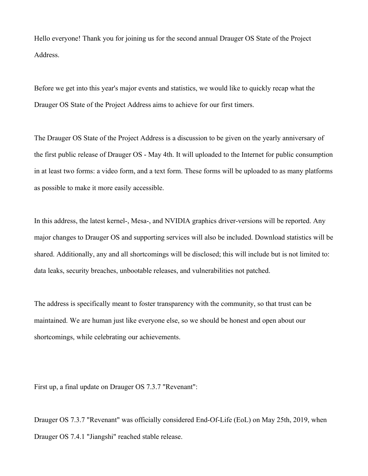Hello everyone! Thank you for joining us for the second annual Drauger OS State of the Project Address.

Before we get into this year's major events and statistics, we would like to quickly recap what the Drauger OS State of the Project Address aims to achieve for our first timers.

The Drauger OS State of the Project Address is a discussion to be given on the yearly anniversary of the first public release of Drauger OS - May 4th. It will uploaded to the Internet for public consumption in at least two forms: a video form, and a text form. These forms will be uploaded to as many platforms as possible to make it more easily accessible.

In this address, the latest kernel-, Mesa-, and NVIDIA graphics driver-versions will be reported. Any major changes to Drauger OS and supporting services will also be included. Download statistics will be shared. Additionally, any and all shortcomings will be disclosed; this will include but is not limited to: data leaks, security breaches, unbootable releases, and vulnerabilities not patched.

The address is specifically meant to foster transparency with the community, so that trust can be maintained. We are human just like everyone else, so we should be honest and open about our shortcomings, while celebrating our achievements.

First up, a final update on Drauger OS 7.3.7 "Revenant":

Drauger OS 7.3.7 "Revenant" was officially considered End-Of-Life (EoL) on May 25th, 2019, when Drauger OS 7.4.1 "Jiangshi" reached stable release.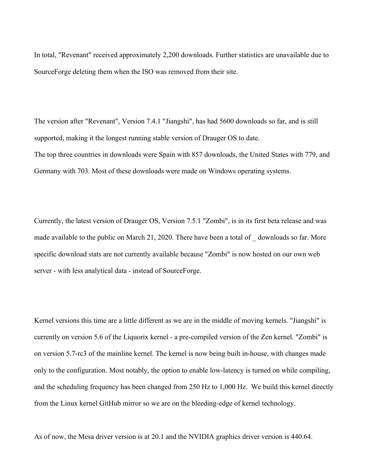In total, "Revenant" received approximately 2,200 downloads. Further statistics are unavailable due to SourceForge deleting them when the ISO was removed from their site.

The version after "Revenant", Version 7.4.1 "Jiangshi", has had 5600 downloads so far, and is still supported, making it the longest running stable version of Drauger OS to date. The top three countries in downloads were Spain with 857 downloads, the United States with 779, and Germany with 703. Most of these downloads were made on Windows operating systems.

Currently, the latest version of Drauger OS, Version 7.5.1 "Zombi", is in its first beta release and was made available to the public on March 21, 2020. There have been a total of downloads so far. More specific download stats are not currently available because "Zombi" is now hosted on our own web server - with less analytical data - instead of SourceForge.

Kernel versions this time are a little different as we are in the middle of moving kernels. "Jiangshi" is currently on version 5.6 of the Liquorix kernel - a pre-compiled version of the Zen kernel. "Zombi" is on version 5.7-rc3 of the mainline kernel. The kernel is now being built in-house, with changes made only to the configuration. Most notably, the option to enable low-latency is turned on while compiling, and the scheduling frequency has been changed from 250 Hz to 1,000 Hz. We build this kernel directly from the Linux kernel GitHub mirror so we are on the bleeding-edge of kernel technology.

As of now, the Mesa driver version is at 20.1 and the NVIDIA graphics driver version is 440.64.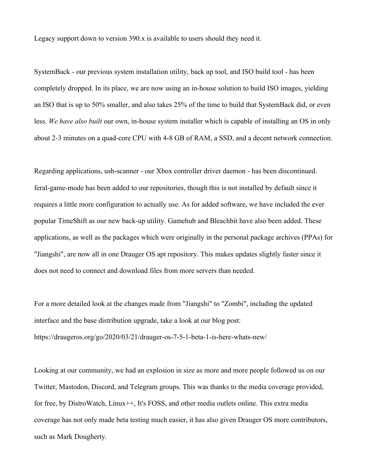Legacy support down to version 390.x is available to users should they need it.

SystemBack - our previous system installation utility, back up tool, and ISO build tool - has been completely dropped. In its place, we are now using an in-house solution to build ISO images, yielding an ISO that is up to 50% smaller, and also takes 25% of the time to build that SystemBack did, or even less. *We have also built* our own, in-house system installer which is capable of installing an OS in only about 2-3 minutes on a quad-core CPU with 4-8 GB of RAM, a SSD, and a decent network connection.

Regarding applications, usb-scanner - our Xbox controller driver daemon - has been discontinued. feral-game-mode has been added to our repositories, though this is not installed by default since it requires a little more configuration to actually use. As for added software, we have included the ever popular TimeShift as our new back-up utility. Gamehub and Bleachbit have also been added. These applications, as well as the packages which were originally in the personal package archives (PPAs) for "Jiangshi", are now all in one Drauger OS apt repository. This makes updates slightly faster since it does not need to connect and download files from more servers than needed.

For a more detailed look at the changes made from "Jiangshi" to "Zombi", including the updated interface and the base distribution upgrade, take a look at our blog post: https://draugeros.org/go/2020/03/21/drauger-os-7-5-1-beta-1-is-here-whats-new/

Looking at our community, we had an explosion in size as more and more people followed us on our Twitter, Mastodon, Discord, and Telegram groups. This was thanks to the media coverage provided, for free, by DistroWatch, Linux++, It's FOSS, and other media outlets online. This extra media coverage has not only made beta testing much easier, it has also given Drauger OS more contributors, such as Mark Dougherty.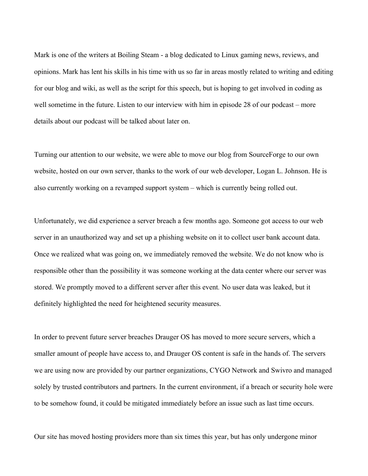Mark is one of the writers at Boiling Steam - a blog dedicated to Linux gaming news, reviews, and opinions. Mark has lent his skills in his time with us so far in areas mostly related to writing and editing for our blog and wiki, as well as the script for this speech, but is hoping to get involved in coding as well sometime in the future. Listen to our interview with him in episode 28 of our podcast – more details about our podcast will be talked about later on.

Turning our attention to our website, we were able to move our blog from SourceForge to our own website, hosted on our own server, thanks to the work of our web developer, Logan L. Johnson. He is also currently working on a revamped support system – which is currently being rolled out.

Unfortunately, we did experience a server breach a few months ago. Someone got access to our web server in an unauthorized way and set up a phishing website on it to collect user bank account data. Once we realized what was going on, we immediately removed the website. We do not know who is responsible other than the possibility it was someone working at the data center where our server was stored. We promptly moved to a different server after this event*.* No user data was leaked, but it definitely highlighted the need for heightened security measures.

In order to prevent future server breaches Drauger OS has moved to more secure servers, which a smaller amount of people have access to, and Drauger OS content is safe in the hands of. The servers we are using now are provided by our partner organizations, CYGO Network and Swivro and managed solely by trusted contributors and partners. In the current environment, if a breach or security hole were to be somehow found, it could be mitigated immediately before an issue such as last time occurs.

Our site has moved hosting providers more than six times this year, but has only undergone minor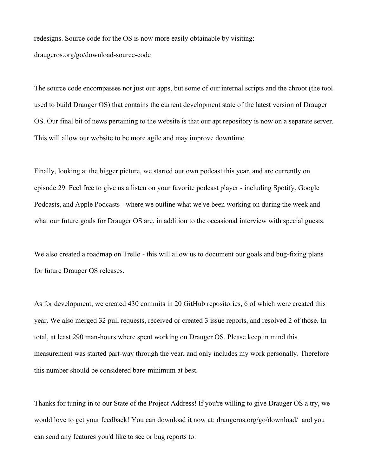redesigns. Source code for the OS is now more easily obtainable by visiting: draugeros.org/go/download-source-code

The source code encompasses not just our apps, but some of our internal scripts and the chroot (the tool used to build Drauger OS) that contains the current development state of the latest version of Drauger OS. Our final bit of news pertaining to the website is that our apt repository is now on a separate server. This will allow our website to be more agile and may improve downtime.

Finally, looking at the bigger picture, we started our own podcast this year, and are currently on episode 29. Feel free to give us a listen on your favorite podcast player - including Spotify, Google Podcasts, and Apple Podcasts - where we outline what we've been working on during the week and what our future goals for Drauger OS are, in addition to the occasional interview with special guests.

We also created a roadmap on Trello - this will allow us to document our goals and bug-fixing plans for future Drauger OS releases.

As for development, we created 430 commits in 20 GitHub repositories, 6 of which were created this year. We also merged 32 pull requests, received or created 3 issue reports, and resolved 2 of those. In total, at least 290 man-hours where spent working on Drauger OS. Please keep in mind this measurement was started part-way through the year, and only includes my work personally. Therefore this number should be considered bare-minimum at best.

Thanks for tuning in to our State of the Project Address! If you're willing to give Drauger OS a try, we would love to get your feedback! You can download it now at: draugeros.org/go/download/ and you can send any features you'd like to see or bug reports to: